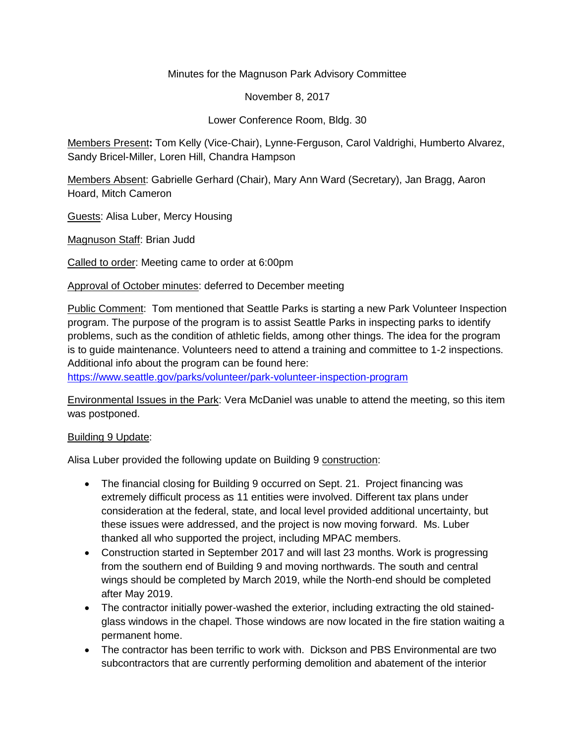### Minutes for the Magnuson Park Advisory Committee

November 8, 2017

Lower Conference Room, Bldg. 30

Members Present**:** Tom Kelly (Vice-Chair), Lynne-Ferguson, Carol Valdrighi, Humberto Alvarez, Sandy Bricel-Miller, Loren Hill, Chandra Hampson

Members Absent: Gabrielle Gerhard (Chair), Mary Ann Ward (Secretary), Jan Bragg, Aaron Hoard, Mitch Cameron

Guests: Alisa Luber, Mercy Housing

Magnuson Staff: Brian Judd

Called to order: Meeting came to order at 6:00pm

Approval of October minutes: deferred to December meeting

Public Comment: Tom mentioned that Seattle Parks is starting a new Park Volunteer Inspection program. The purpose of the program is to assist Seattle Parks in inspecting parks to identify problems, such as the condition of athletic fields, among other things. The idea for the program is to guide maintenance. Volunteers need to attend a training and committee to 1-2 inspections. Additional info about the program can be found here:

<https://www.seattle.gov/parks/volunteer/park-volunteer-inspection-program>

Environmental Issues in the Park: Vera McDaniel was unable to attend the meeting, so this item was postponed.

#### Building 9 Update:

Alisa Luber provided the following update on Building 9 construction:

- The financial closing for Building 9 occurred on Sept. 21. Project financing was extremely difficult process as 11 entities were involved. Different tax plans under consideration at the federal, state, and local level provided additional uncertainty, but these issues were addressed, and the project is now moving forward. Ms. Luber thanked all who supported the project, including MPAC members.
- Construction started in September 2017 and will last 23 months. Work is progressing from the southern end of Building 9 and moving northwards. The south and central wings should be completed by March 2019, while the North-end should be completed after May 2019.
- The contractor initially power-washed the exterior, including extracting the old stainedglass windows in the chapel. Those windows are now located in the fire station waiting a permanent home.
- The contractor has been terrific to work with. Dickson and PBS Environmental are two subcontractors that are currently performing demolition and abatement of the interior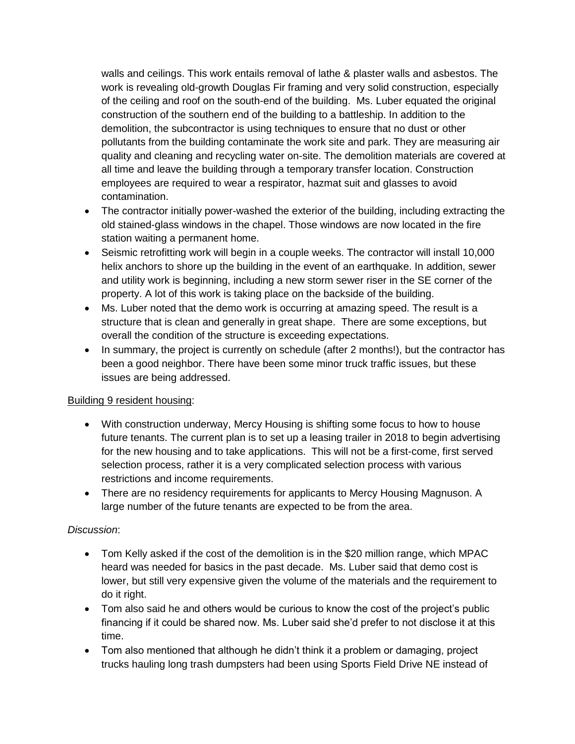walls and ceilings. This work entails removal of lathe & plaster walls and asbestos. The work is revealing old-growth Douglas Fir framing and very solid construction, especially of the ceiling and roof on the south-end of the building. Ms. Luber equated the original construction of the southern end of the building to a battleship. In addition to the demolition, the subcontractor is using techniques to ensure that no dust or other pollutants from the building contaminate the work site and park. They are measuring air quality and cleaning and recycling water on-site. The demolition materials are covered at all time and leave the building through a temporary transfer location. Construction employees are required to wear a respirator, hazmat suit and glasses to avoid contamination.

- The contractor initially power-washed the exterior of the building, including extracting the old stained-glass windows in the chapel. Those windows are now located in the fire station waiting a permanent home.
- Seismic retrofitting work will begin in a couple weeks. The contractor will install 10,000 helix anchors to shore up the building in the event of an earthquake. In addition, sewer and utility work is beginning, including a new storm sewer riser in the SE corner of the property. A lot of this work is taking place on the backside of the building.
- Ms. Luber noted that the demo work is occurring at amazing speed. The result is a structure that is clean and generally in great shape. There are some exceptions, but overall the condition of the structure is exceeding expectations.
- In summary, the project is currently on schedule (after 2 months!), but the contractor has been a good neighbor. There have been some minor truck traffic issues, but these issues are being addressed.

### Building 9 resident housing:

- With construction underway, Mercy Housing is shifting some focus to how to house future tenants. The current plan is to set up a leasing trailer in 2018 to begin advertising for the new housing and to take applications. This will not be a first-come, first served selection process, rather it is a very complicated selection process with various restrictions and income requirements.
- There are no residency requirements for applicants to Mercy Housing Magnuson. A large number of the future tenants are expected to be from the area.

### *Discussion*:

- Tom Kelly asked if the cost of the demolition is in the \$20 million range, which MPAC heard was needed for basics in the past decade. Ms. Luber said that demo cost is lower, but still very expensive given the volume of the materials and the requirement to do it right.
- Tom also said he and others would be curious to know the cost of the project's public financing if it could be shared now. Ms. Luber said she'd prefer to not disclose it at this time.
- Tom also mentioned that although he didn't think it a problem or damaging, project trucks hauling long trash dumpsters had been using Sports Field Drive NE instead of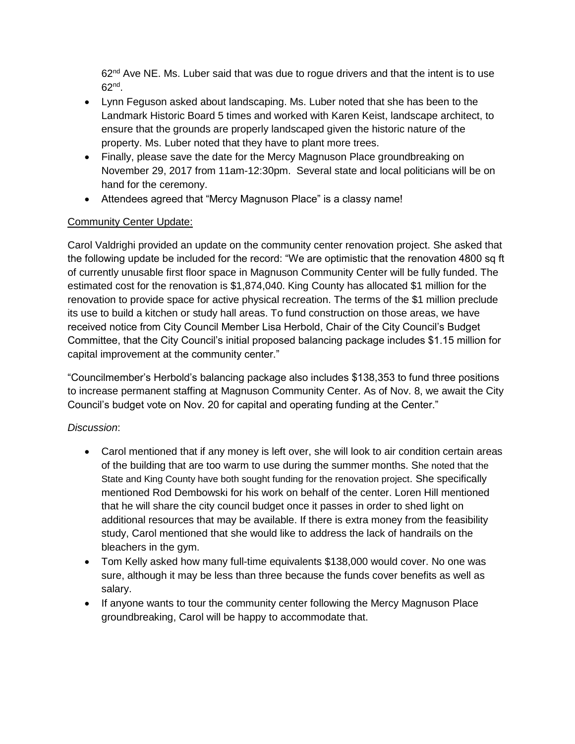$62<sup>nd</sup>$  Ave NE. Ms. Luber said that was due to rogue drivers and that the intent is to use 62nd .

- Lynn Feguson asked about landscaping. Ms. Luber noted that she has been to the Landmark Historic Board 5 times and worked with Karen Keist, landscape architect, to ensure that the grounds are properly landscaped given the historic nature of the property. Ms. Luber noted that they have to plant more trees.
- Finally, please save the date for the Mercy Magnuson Place groundbreaking on November 29, 2017 from 11am-12:30pm. Several state and local politicians will be on hand for the ceremony.
- Attendees agreed that "Mercy Magnuson Place" is a classy name!

# Community Center Update:

Carol Valdrighi provided an update on the community center renovation project. She asked that the following update be included for the record: "We are optimistic that the renovation 4800 sq ft of currently unusable first floor space in Magnuson Community Center will be fully funded. The estimated cost for the renovation is \$1,874,040. King County has allocated \$1 million for the renovation to provide space for active physical recreation. The terms of the \$1 million preclude its use to build a kitchen or study hall areas. To fund construction on those areas, we have received notice from City Council Member Lisa Herbold, Chair of the City Council's Budget Committee, that the City Council's initial proposed balancing package includes \$1.15 million for capital improvement at the community center."

"Councilmember's Herbold's balancing package also includes \$138,353 to fund three positions to increase permanent staffing at Magnuson Community Center. As of Nov. 8, we await the City Council's budget vote on Nov. 20 for capital and operating funding at the Center."

# *Discussion*:

- Carol mentioned that if any money is left over, she will look to air condition certain areas of the building that are too warm to use during the summer months. She noted that the State and King County have both sought funding for the renovation project. She specifically mentioned Rod Dembowski for his work on behalf of the center. Loren Hill mentioned that he will share the city council budget once it passes in order to shed light on additional resources that may be available. If there is extra money from the feasibility study, Carol mentioned that she would like to address the lack of handrails on the bleachers in the gym.
- Tom Kelly asked how many full-time equivalents \$138,000 would cover. No one was sure, although it may be less than three because the funds cover benefits as well as salary.
- If anyone wants to tour the community center following the Mercy Magnuson Place groundbreaking, Carol will be happy to accommodate that.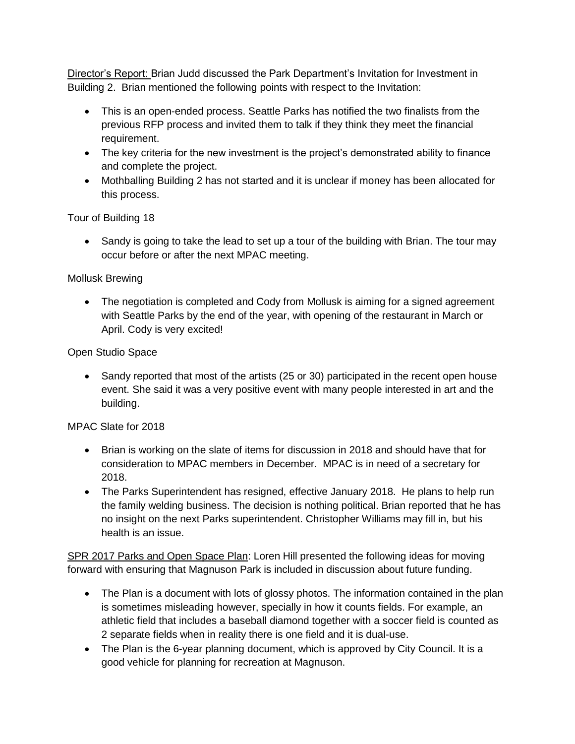Director's Report: Brian Judd discussed the Park Department's Invitation for Investment in Building 2. Brian mentioned the following points with respect to the Invitation:

- This is an open-ended process. Seattle Parks has notified the two finalists from the previous RFP process and invited them to talk if they think they meet the financial requirement.
- The key criteria for the new investment is the project's demonstrated ability to finance and complete the project.
- Mothballing Building 2 has not started and it is unclear if money has been allocated for this process.

Tour of Building 18

• Sandy is going to take the lead to set up a tour of the building with Brian. The tour may occur before or after the next MPAC meeting.

### Mollusk Brewing

• The negotiation is completed and Cody from Mollusk is aiming for a signed agreement with Seattle Parks by the end of the year, with opening of the restaurant in March or April. Cody is very excited!

# Open Studio Space

• Sandy reported that most of the artists (25 or 30) participated in the recent open house event. She said it was a very positive event with many people interested in art and the building.

# MPAC Slate for 2018

- Brian is working on the slate of items for discussion in 2018 and should have that for consideration to MPAC members in December. MPAC is in need of a secretary for 2018.
- The Parks Superintendent has resigned, effective January 2018. He plans to help run the family welding business. The decision is nothing political. Brian reported that he has no insight on the next Parks superintendent. Christopher Williams may fill in, but his health is an issue.

SPR 2017 Parks and Open Space Plan: Loren Hill presented the following ideas for moving forward with ensuring that Magnuson Park is included in discussion about future funding.

- The Plan is a document with lots of glossy photos. The information contained in the plan is sometimes misleading however, specially in how it counts fields. For example, an athletic field that includes a baseball diamond together with a soccer field is counted as 2 separate fields when in reality there is one field and it is dual-use.
- The Plan is the 6-year planning document, which is approved by City Council. It is a good vehicle for planning for recreation at Magnuson.